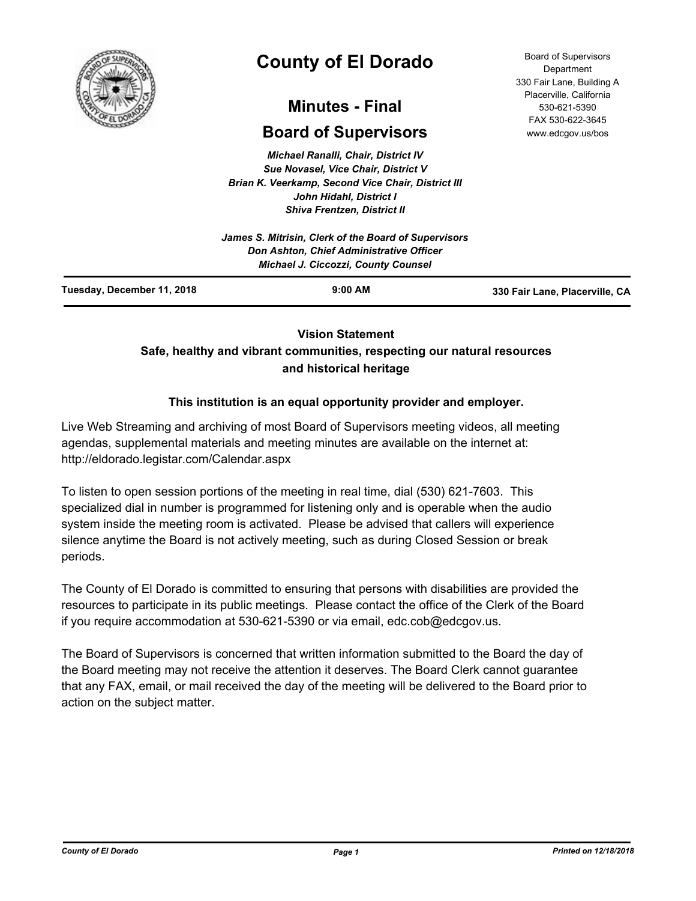

# **County of El Dorado**

# **Minutes - Final**

# **Board of Supervisors**

*Michael Ranalli, Chair, District IV Sue Novasel, Vice Chair, District V Brian K. Veerkamp, Second Vice Chair, District III John Hidahl, District I Shiva Frentzen, District II*

| Tuesday, December 11, 2018<br>$9:00$ AM                                                | 330 Fair Lane, Placerville, CA |  |
|----------------------------------------------------------------------------------------|--------------------------------|--|
| Don Ashton, Chief Administrative Officer<br><b>Michael J. Ciccozzi, County Counsel</b> |                                |  |
| James S. Mitrisin, Clerk of the Board of Supervisors                                   |                                |  |

# **Vision Statement**

# **Safe, healthy and vibrant communities, respecting our natural resources and historical heritage**

# **This institution is an equal opportunity provider and employer.**

Live Web Streaming and archiving of most Board of Supervisors meeting videos, all meeting agendas, supplemental materials and meeting minutes are available on the internet at: http://eldorado.legistar.com/Calendar.aspx

To listen to open session portions of the meeting in real time, dial (530) 621-7603. This specialized dial in number is programmed for listening only and is operable when the audio system inside the meeting room is activated. Please be advised that callers will experience silence anytime the Board is not actively meeting, such as during Closed Session or break periods.

The County of El Dorado is committed to ensuring that persons with disabilities are provided the resources to participate in its public meetings. Please contact the office of the Clerk of the Board if you require accommodation at 530-621-5390 or via email, edc.cob@edcgov.us.

The Board of Supervisors is concerned that written information submitted to the Board the day of the Board meeting may not receive the attention it deserves. The Board Clerk cannot guarantee that any FAX, email, or mail received the day of the meeting will be delivered to the Board prior to action on the subject matter.

Board of Supervisors Department 330 Fair Lane, Building A Placerville, California 530-621-5390 FAX 530-622-3645 www.edcgov.us/bos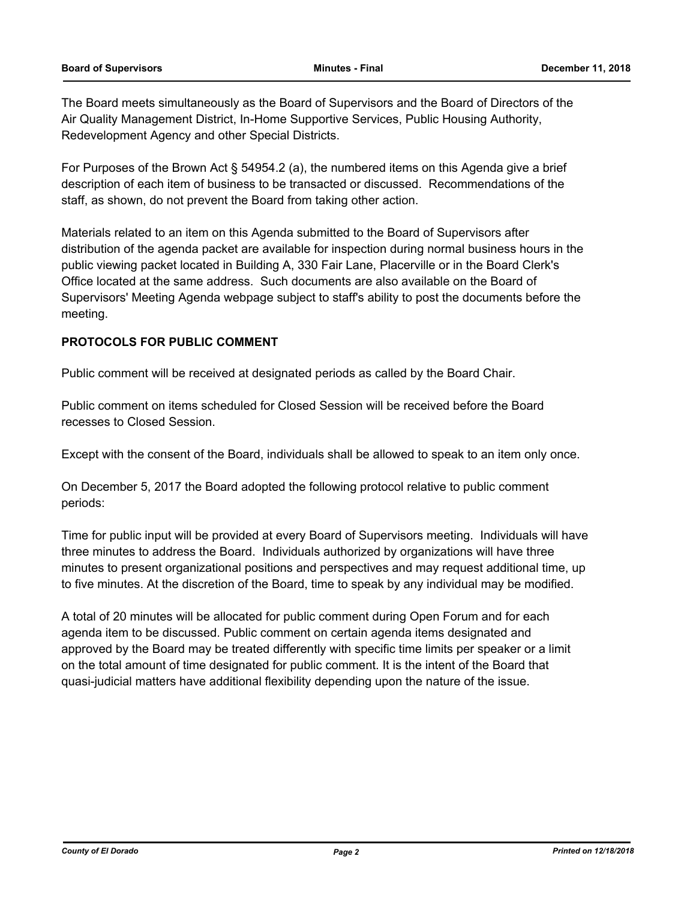The Board meets simultaneously as the Board of Supervisors and the Board of Directors of the Air Quality Management District, In-Home Supportive Services, Public Housing Authority, Redevelopment Agency and other Special Districts.

For Purposes of the Brown Act § 54954.2 (a), the numbered items on this Agenda give a brief description of each item of business to be transacted or discussed. Recommendations of the staff, as shown, do not prevent the Board from taking other action.

Materials related to an item on this Agenda submitted to the Board of Supervisors after distribution of the agenda packet are available for inspection during normal business hours in the public viewing packet located in Building A, 330 Fair Lane, Placerville or in the Board Clerk's Office located at the same address. Such documents are also available on the Board of Supervisors' Meeting Agenda webpage subject to staff's ability to post the documents before the meeting.

# **PROTOCOLS FOR PUBLIC COMMENT**

Public comment will be received at designated periods as called by the Board Chair.

Public comment on items scheduled for Closed Session will be received before the Board recesses to Closed Session.

Except with the consent of the Board, individuals shall be allowed to speak to an item only once.

On December 5, 2017 the Board adopted the following protocol relative to public comment periods:

Time for public input will be provided at every Board of Supervisors meeting. Individuals will have three minutes to address the Board. Individuals authorized by organizations will have three minutes to present organizational positions and perspectives and may request additional time, up to five minutes. At the discretion of the Board, time to speak by any individual may be modified.

A total of 20 minutes will be allocated for public comment during Open Forum and for each agenda item to be discussed. Public comment on certain agenda items designated and approved by the Board may be treated differently with specific time limits per speaker or a limit on the total amount of time designated for public comment. It is the intent of the Board that quasi-judicial matters have additional flexibility depending upon the nature of the issue.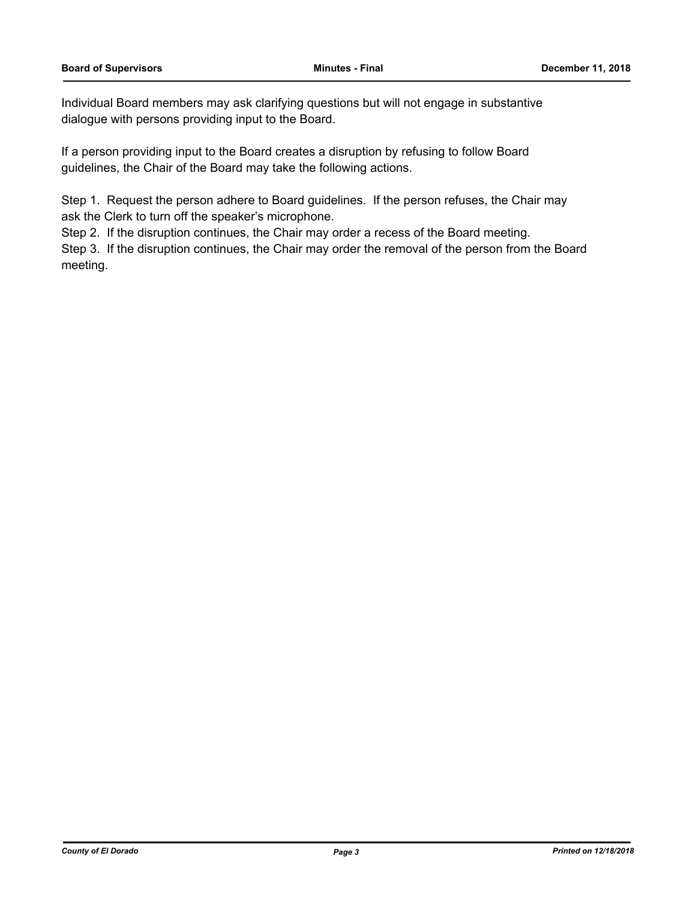Individual Board members may ask clarifying questions but will not engage in substantive dialogue with persons providing input to the Board.

If a person providing input to the Board creates a disruption by refusing to follow Board guidelines, the Chair of the Board may take the following actions.

Step 1. Request the person adhere to Board guidelines. If the person refuses, the Chair may ask the Clerk to turn off the speaker's microphone.

Step 2. If the disruption continues, the Chair may order a recess of the Board meeting.

Step 3. If the disruption continues, the Chair may order the removal of the person from the Board meeting.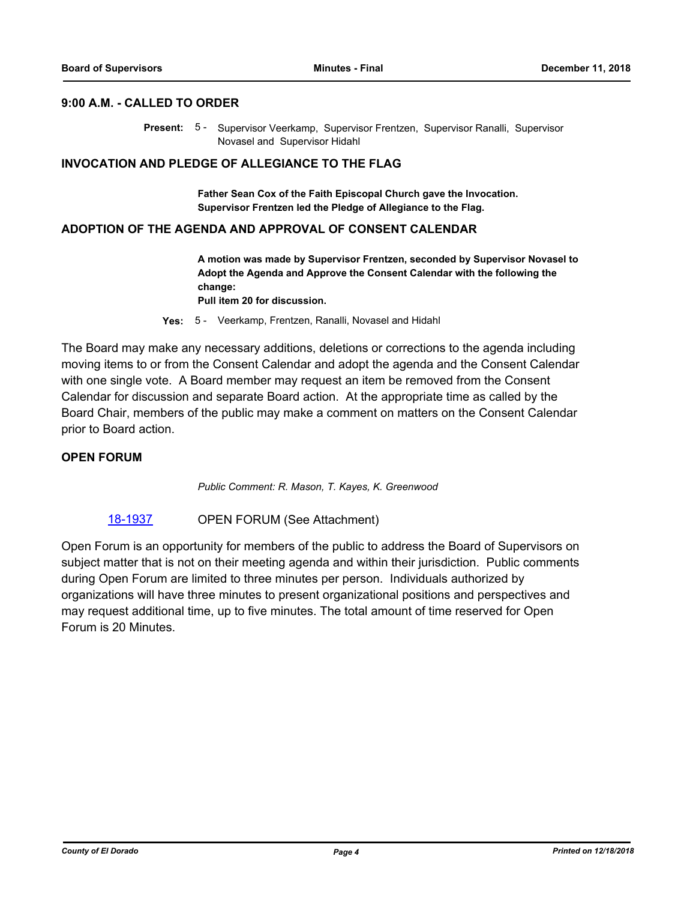# **9:00 A.M. - CALLED TO ORDER**

Present: 5 - Supervisor Veerkamp, Supervisor Frentzen, Supervisor Ranalli, Supervisor Novasel and Supervisor Hidahl

## **INVOCATION AND PLEDGE OF ALLEGIANCE TO THE FLAG**

**Father Sean Cox of the Faith Episcopal Church gave the Invocation. Supervisor Frentzen led the Pledge of Allegiance to the Flag.**

## **ADOPTION OF THE AGENDA AND APPROVAL OF CONSENT CALENDAR**

**A motion was made by Supervisor Frentzen, seconded by Supervisor Novasel to Adopt the Agenda and Approve the Consent Calendar with the following the change:**

**Pull item 20 for discussion.**

**Yes:** 5 - Veerkamp, Frentzen, Ranalli, Novasel and Hidahl

The Board may make any necessary additions, deletions or corrections to the agenda including moving items to or from the Consent Calendar and adopt the agenda and the Consent Calendar with one single vote. A Board member may request an item be removed from the Consent Calendar for discussion and separate Board action. At the appropriate time as called by the Board Chair, members of the public may make a comment on matters on the Consent Calendar prior to Board action.

# **OPEN FORUM**

*Public Comment: R. Mason, T. Kayes, K. Greenwood*

### [18-1937](http://eldorado.legistar.com/gateway.aspx?m=l&id=/matter.aspx?key=25287) OPEN FORUM (See Attachment)

Open Forum is an opportunity for members of the public to address the Board of Supervisors on subject matter that is not on their meeting agenda and within their jurisdiction. Public comments during Open Forum are limited to three minutes per person. Individuals authorized by organizations will have three minutes to present organizational positions and perspectives and may request additional time, up to five minutes. The total amount of time reserved for Open Forum is 20 Minutes.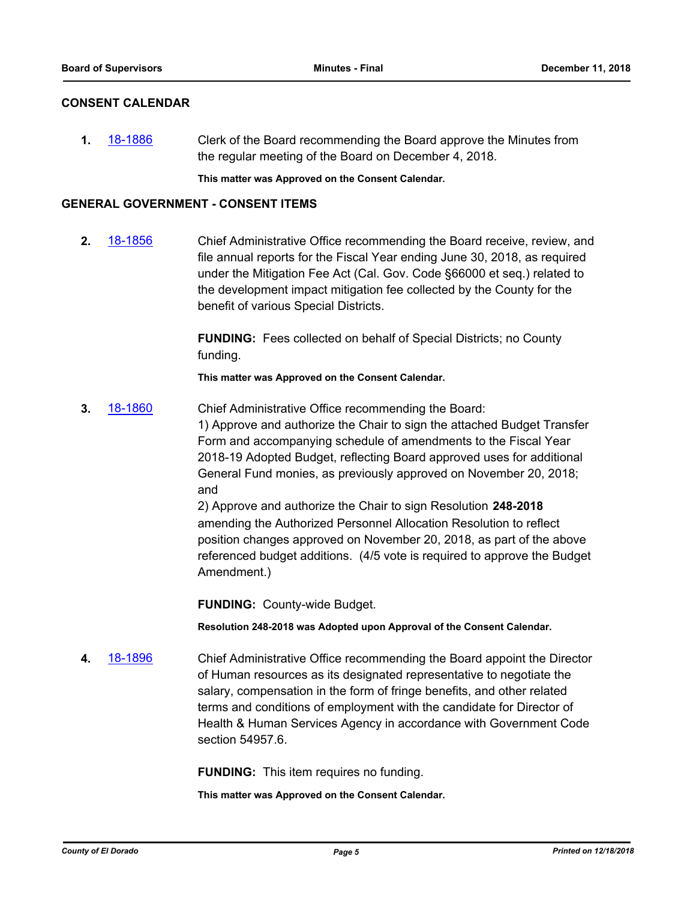# **CONSENT CALENDAR**

**1.** [18-1886](http://eldorado.legistar.com/gateway.aspx?m=l&id=/matter.aspx?key=25236) Clerk of the Board recommending the Board approve the Minutes from the regular meeting of the Board on December 4, 2018.

**This matter was Approved on the Consent Calendar.**

# **GENERAL GOVERNMENT - CONSENT ITEMS**

**2.** [18-1856](http://eldorado.legistar.com/gateway.aspx?m=l&id=/matter.aspx?key=25206) Chief Administrative Office recommending the Board receive, review, and file annual reports for the Fiscal Year ending June 30, 2018, as required under the Mitigation Fee Act (Cal. Gov. Code §66000 et seq.) related to the development impact mitigation fee collected by the County for the benefit of various Special Districts.

> **FUNDING:** Fees collected on behalf of Special Districts; no County funding.

**This matter was Approved on the Consent Calendar.**

**3.** [18-1860](http://eldorado.legistar.com/gateway.aspx?m=l&id=/matter.aspx?key=25210) Chief Administrative Office recommending the Board: 1) Approve and authorize the Chair to sign the attached Budget Transfer Form and accompanying schedule of amendments to the Fiscal Year 2018-19 Adopted Budget, reflecting Board approved uses for additional General Fund monies, as previously approved on November 20, 2018; and 2) Approve and authorize the Chair to sign Resolution **248-2018** 

amending the Authorized Personnel Allocation Resolution to reflect position changes approved on November 20, 2018, as part of the above referenced budget additions. (4/5 vote is required to approve the Budget Amendment.)

**FUNDING:** County-wide Budget.

**Resolution 248-2018 was Adopted upon Approval of the Consent Calendar.**

**4.** [18-1896](http://eldorado.legistar.com/gateway.aspx?m=l&id=/matter.aspx?key=25246) Chief Administrative Office recommending the Board appoint the Director of Human resources as its designated representative to negotiate the salary, compensation in the form of fringe benefits, and other related terms and conditions of employment with the candidate for Director of Health & Human Services Agency in accordance with Government Code section 54957.6.

**FUNDING:** This item requires no funding.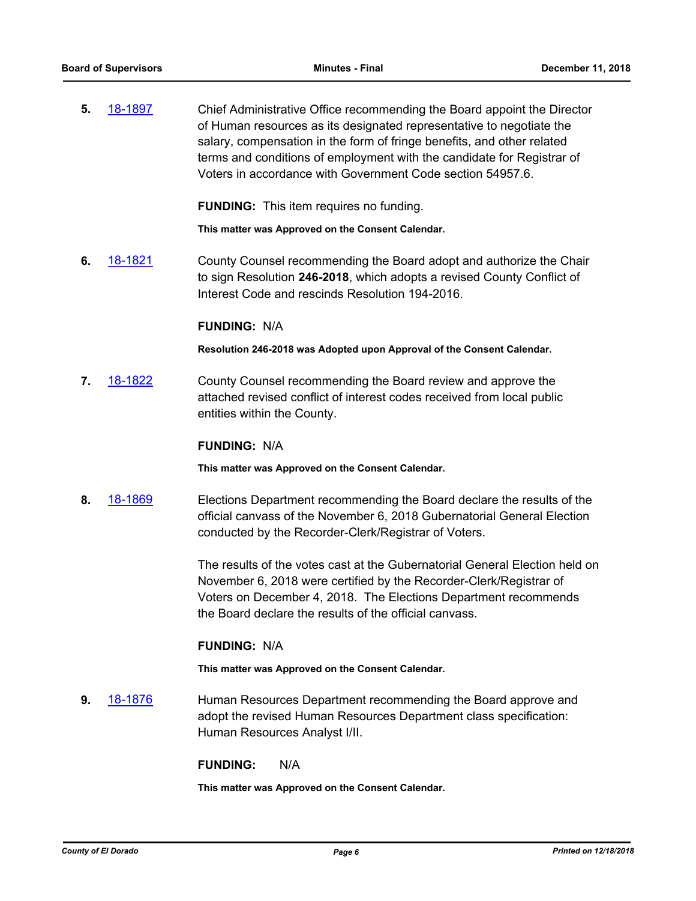**5.** [18-1897](http://eldorado.legistar.com/gateway.aspx?m=l&id=/matter.aspx?key=25247) Chief Administrative Office recommending the Board appoint the Director of Human resources as its designated representative to negotiate the salary, compensation in the form of fringe benefits, and other related terms and conditions of employment with the candidate for Registrar of Voters in accordance with Government Code section 54957.6.

**FUNDING:** This item requires no funding.

**This matter was Approved on the Consent Calendar.**

**6.** [18-1821](http://eldorado.legistar.com/gateway.aspx?m=l&id=/matter.aspx?key=25172) County Counsel recommending the Board adopt and authorize the Chair to sign Resolution **246-2018**, which adopts a revised County Conflict of Interest Code and rescinds Resolution 194-2016.

## **FUNDING:** N/A

**Resolution 246-2018 was Adopted upon Approval of the Consent Calendar.**

**7.** [18-1822](http://eldorado.legistar.com/gateway.aspx?m=l&id=/matter.aspx?key=25173) County Counsel recommending the Board review and approve the attached revised conflict of interest codes received from local public entities within the County.

# **FUNDING:** N/A

**This matter was Approved on the Consent Calendar.**

**8.** [18-1869](http://eldorado.legistar.com/gateway.aspx?m=l&id=/matter.aspx?key=25219) Elections Department recommending the Board declare the results of the official canvass of the November 6, 2018 Gubernatorial General Election conducted by the Recorder-Clerk/Registrar of Voters.

> The results of the votes cast at the Gubernatorial General Election held on November 6, 2018 were certified by the Recorder-Clerk/Registrar of Voters on December 4, 2018. The Elections Department recommends the Board declare the results of the official canvass.

# **FUNDING:** N/A

**This matter was Approved on the Consent Calendar.**

**9.** [18-1876](http://eldorado.legistar.com/gateway.aspx?m=l&id=/matter.aspx?key=25226) Human Resources Department recommending the Board approve and adopt the revised Human Resources Department class specification: Human Resources Analyst I/II.

### **FUNDING:** N/A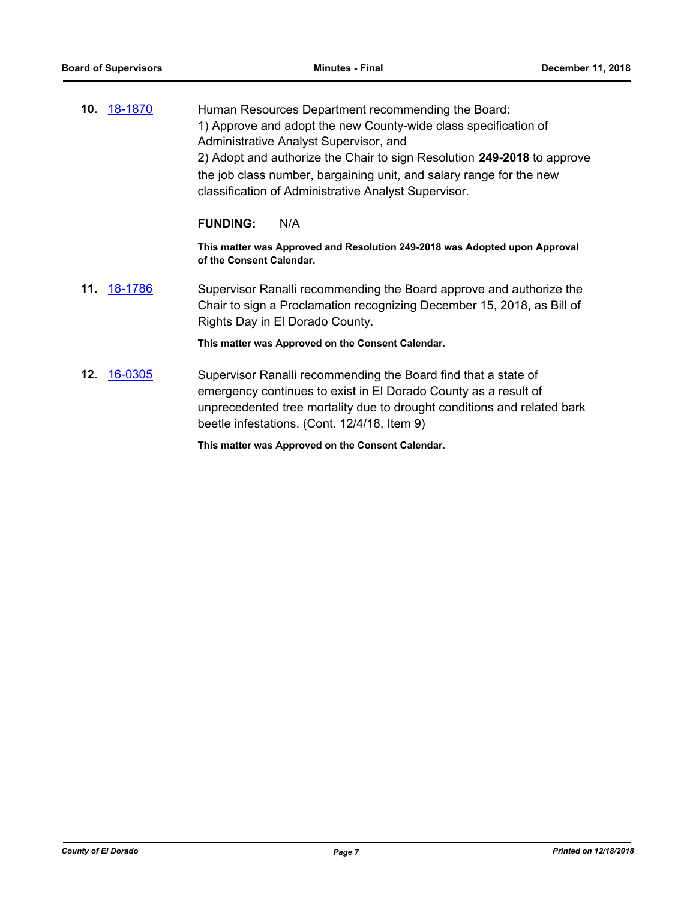**10.** [18-1870](http://eldorado.legistar.com/gateway.aspx?m=l&id=/matter.aspx?key=25220) Human Resources Department recommending the Board: 1) Approve and adopt the new County-wide class specification of Administrative Analyst Supervisor, and 2) Adopt and authorize the Chair to sign Resolution **249-2018** to approve the job class number, bargaining unit, and salary range for the new classification of Administrative Analyst Supervisor.

### **FUNDING:** N/A

**This matter was Approved and Resolution 249-2018 was Adopted upon Approval of the Consent Calendar.**

**11.** [18-1786](http://eldorado.legistar.com/gateway.aspx?m=l&id=/matter.aspx?key=25137) Supervisor Ranalli recommending the Board approve and authorize the Chair to sign a Proclamation recognizing December 15, 2018, as Bill of Rights Day in El Dorado County.

### **This matter was Approved on the Consent Calendar.**

**12.** [16-0305](http://eldorado.legistar.com/gateway.aspx?m=l&id=/matter.aspx?key=20961) Supervisor Ranalli recommending the Board find that a state of emergency continues to exist in El Dorado County as a result of unprecedented tree mortality due to drought conditions and related bark beetle infestations. (Cont. 12/4/18, Item 9)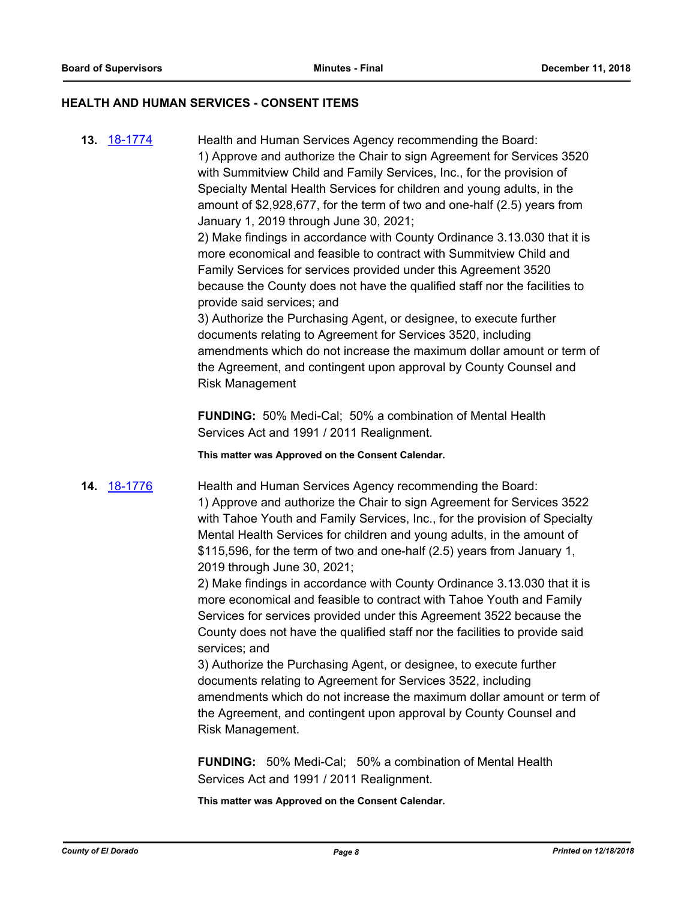## **HEALTH AND HUMAN SERVICES - CONSENT ITEMS**

**13.** [18-1774](http://eldorado.legistar.com/gateway.aspx?m=l&id=/matter.aspx?key=25125) Health and Human Services Agency recommending the Board: 1) Approve and authorize the Chair to sign Agreement for Services 3520 with Summitview Child and Family Services, Inc., for the provision of Specialty Mental Health Services for children and young adults, in the amount of \$2,928,677, for the term of two and one-half (2.5) years from January 1, 2019 through June 30, 2021;

> 2) Make findings in accordance with County Ordinance 3.13.030 that it is more economical and feasible to contract with Summitview Child and Family Services for services provided under this Agreement 3520 because the County does not have the qualified staff nor the facilities to provide said services; and

3) Authorize the Purchasing Agent, or designee, to execute further documents relating to Agreement for Services 3520, including amendments which do not increase the maximum dollar amount or term of the Agreement, and contingent upon approval by County Counsel and Risk Management

**FUNDING:** 50% Medi-Cal; 50% a combination of Mental Health Services Act and 1991 / 2011 Realignment.

**This matter was Approved on the Consent Calendar.**

**14.** [18-1776](http://eldorado.legistar.com/gateway.aspx?m=l&id=/matter.aspx?key=25127) Health and Human Services Agency recommending the Board: 1) Approve and authorize the Chair to sign Agreement for Services 3522 with Tahoe Youth and Family Services, Inc., for the provision of Specialty Mental Health Services for children and young adults, in the amount of \$115,596, for the term of two and one-half (2.5) years from January 1, 2019 through June 30, 2021;

> 2) Make findings in accordance with County Ordinance 3.13.030 that it is more economical and feasible to contract with Tahoe Youth and Family Services for services provided under this Agreement 3522 because the County does not have the qualified staff nor the facilities to provide said services; and

3) Authorize the Purchasing Agent, or designee, to execute further documents relating to Agreement for Services 3522, including amendments which do not increase the maximum dollar amount or term of the Agreement, and contingent upon approval by County Counsel and Risk Management.

**FUNDING:** 50% Medi-Cal; 50% a combination of Mental Health Services Act and 1991 / 2011 Realignment.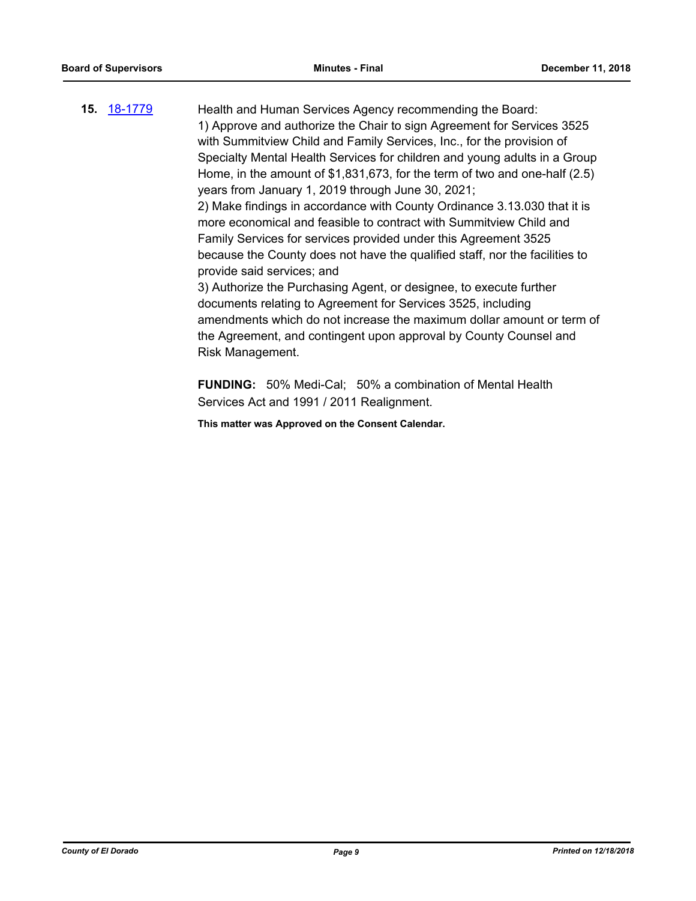**15.** [18-1779](http://eldorado.legistar.com/gateway.aspx?m=l&id=/matter.aspx?key=25130) Health and Human Services Agency recommending the Board: 1) Approve and authorize the Chair to sign Agreement for Services 3525 with Summitview Child and Family Services, Inc., for the provision of Specialty Mental Health Services for children and young adults in a Group Home, in the amount of \$1,831,673, for the term of two and one-half (2.5) years from January 1, 2019 through June 30, 2021; 2) Make findings in accordance with County Ordinance 3.13.030 that it is more economical and feasible to contract with Summitview Child and Family Services for services provided under this Agreement 3525 because the County does not have the qualified staff, nor the facilities to provide said services; and 3) Authorize the Purchasing Agent, or designee, to execute further documents relating to Agreement for Services 3525, including amendments which do not increase the maximum dollar amount or term of the Agreement, and contingent upon approval by County Counsel and Risk Management.

> **FUNDING:** 50% Medi-Cal; 50% a combination of Mental Health Services Act and 1991 / 2011 Realignment.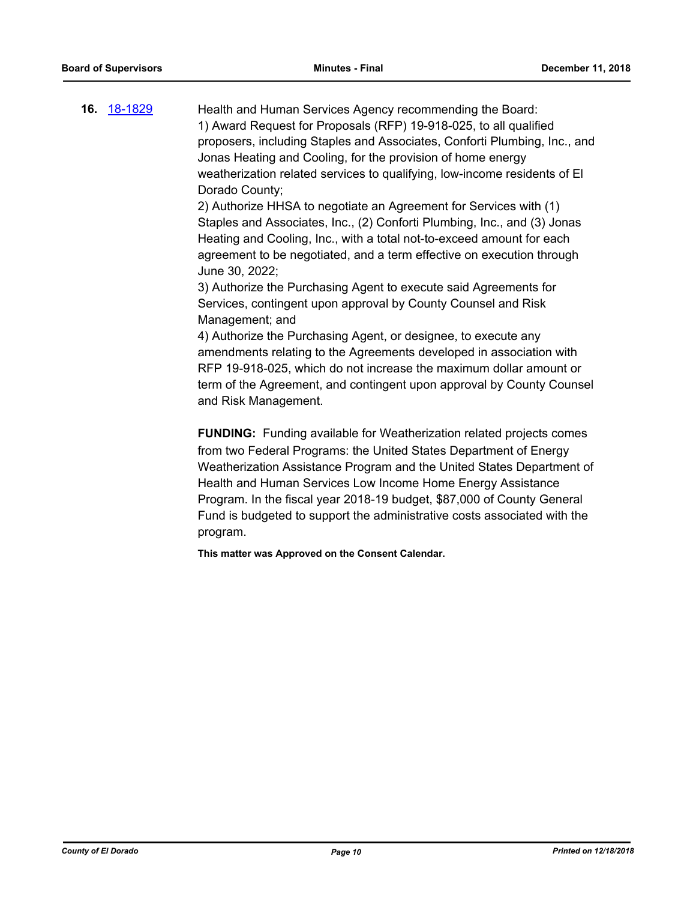**16.** [18-1829](http://eldorado.legistar.com/gateway.aspx?m=l&id=/matter.aspx?key=25180) Health and Human Services Agency recommending the Board: 1) Award Request for Proposals (RFP) 19-918-025, to all qualified proposers, including Staples and Associates, Conforti Plumbing, Inc., and Jonas Heating and Cooling, for the provision of home energy weatherization related services to qualifying, low-income residents of El Dorado County;

> 2) Authorize HHSA to negotiate an Agreement for Services with (1) Staples and Associates, Inc., (2) Conforti Plumbing, Inc., and (3) Jonas Heating and Cooling, Inc., with a total not-to-exceed amount for each agreement to be negotiated, and a term effective on execution through June 30, 2022;

3) Authorize the Purchasing Agent to execute said Agreements for Services, contingent upon approval by County Counsel and Risk Management; and

4) Authorize the Purchasing Agent, or designee, to execute any amendments relating to the Agreements developed in association with RFP 19-918-025, which do not increase the maximum dollar amount or term of the Agreement, and contingent upon approval by County Counsel and Risk Management.

**FUNDING:** Funding available for Weatherization related projects comes from two Federal Programs: the United States Department of Energy Weatherization Assistance Program and the United States Department of Health and Human Services Low Income Home Energy Assistance Program. In the fiscal year 2018-19 budget, \$87,000 of County General Fund is budgeted to support the administrative costs associated with the program.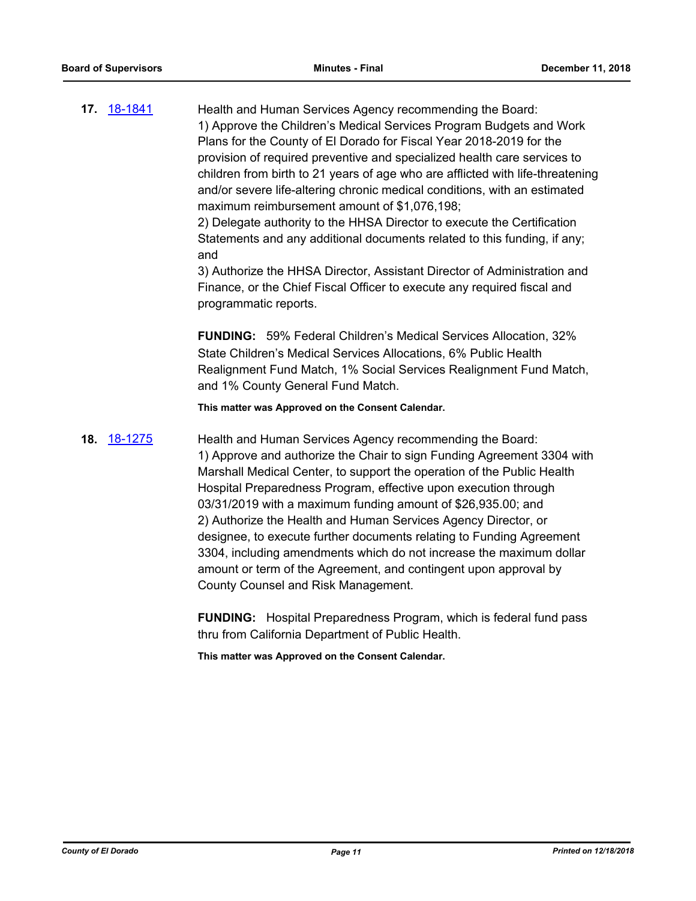**17.** [18-1841](http://eldorado.legistar.com/gateway.aspx?m=l&id=/matter.aspx?key=25191) Health and Human Services Agency recommending the Board: 1) Approve the Children's Medical Services Program Budgets and Work Plans for the County of El Dorado for Fiscal Year 2018-2019 for the provision of required preventive and specialized health care services to children from birth to 21 years of age who are afflicted with life-threatening and/or severe life-altering chronic medical conditions, with an estimated maximum reimbursement amount of \$1,076,198;

> 2) Delegate authority to the HHSA Director to execute the Certification Statements and any additional documents related to this funding, if any; and

> 3) Authorize the HHSA Director, Assistant Director of Administration and Finance, or the Chief Fiscal Officer to execute any required fiscal and programmatic reports.

> **FUNDING:** 59% Federal Children's Medical Services Allocation, 32% State Children's Medical Services Allocations, 6% Public Health Realignment Fund Match, 1% Social Services Realignment Fund Match, and 1% County General Fund Match.

**This matter was Approved on the Consent Calendar.**

**18.** [18-1275](http://eldorado.legistar.com/gateway.aspx?m=l&id=/matter.aspx?key=24626) Health and Human Services Agency recommending the Board: 1) Approve and authorize the Chair to sign Funding Agreement 3304 with Marshall Medical Center, to support the operation of the Public Health Hospital Preparedness Program, effective upon execution through 03/31/2019 with a maximum funding amount of \$26,935.00; and 2) Authorize the Health and Human Services Agency Director, or designee, to execute further documents relating to Funding Agreement 3304, including amendments which do not increase the maximum dollar amount or term of the Agreement, and contingent upon approval by County Counsel and Risk Management.

> **FUNDING:** Hospital Preparedness Program, which is federal fund pass thru from California Department of Public Health.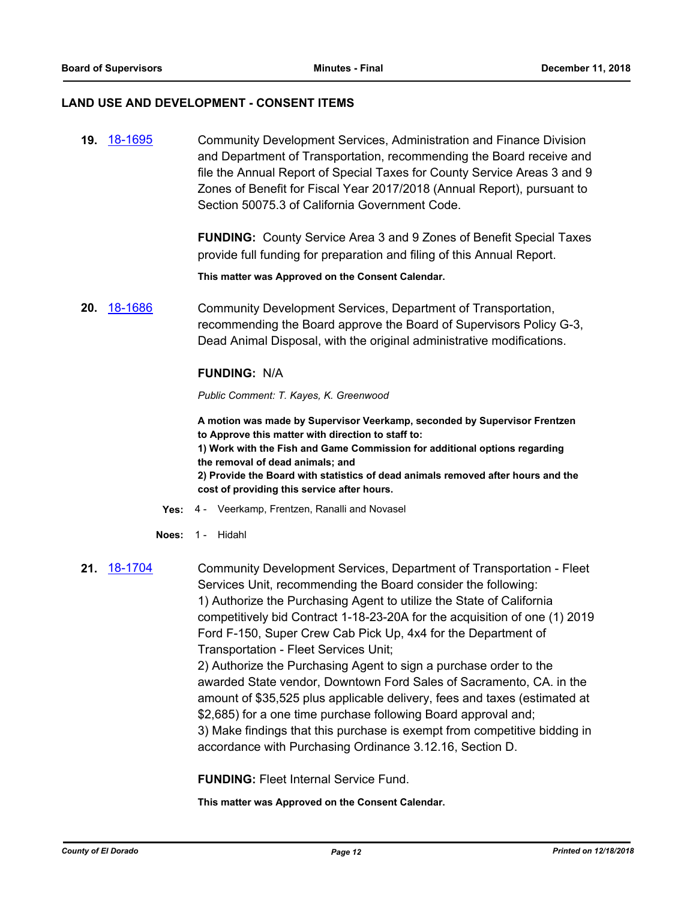### **LAND USE AND DEVELOPMENT - CONSENT ITEMS**

**19.** [18-1695](http://eldorado.legistar.com/gateway.aspx?m=l&id=/matter.aspx?key=25046) Community Development Services, Administration and Finance Division and Department of Transportation, recommending the Board receive and file the Annual Report of Special Taxes for County Service Areas 3 and 9 Zones of Benefit for Fiscal Year 2017/2018 (Annual Report), pursuant to Section 50075.3 of California Government Code.

> **FUNDING:** County Service Area 3 and 9 Zones of Benefit Special Taxes provide full funding for preparation and filing of this Annual Report.

**This matter was Approved on the Consent Calendar.**

**20.** [18-1686](http://eldorado.legistar.com/gateway.aspx?m=l&id=/matter.aspx?key=25037) Community Development Services, Department of Transportation, recommending the Board approve the Board of Supervisors Policy G-3, Dead Animal Disposal, with the original administrative modifications.

# **FUNDING:** N/A

### *Public Comment: T. Kayes, K. Greenwood*

**A motion was made by Supervisor Veerkamp, seconded by Supervisor Frentzen to Approve this matter with direction to staff to:**

**1) Work with the Fish and Game Commission for additional options regarding the removal of dead animals; and**

**2) Provide the Board with statistics of dead animals removed after hours and the cost of providing this service after hours.**

- **Yes:** 4 Veerkamp, Frentzen, Ranalli and Novasel
- **Noes:** 1 Hidahl

**21.** [18-1704](http://eldorado.legistar.com/gateway.aspx?m=l&id=/matter.aspx?key=25055) Community Development Services, Department of Transportation - Fleet Services Unit, recommending the Board consider the following: 1) Authorize the Purchasing Agent to utilize the State of California competitively bid Contract 1-18-23-20A for the acquisition of one (1) 2019 Ford F-150, Super Crew Cab Pick Up, 4x4 for the Department of Transportation - Fleet Services Unit;

> 2) Authorize the Purchasing Agent to sign a purchase order to the awarded State vendor, Downtown Ford Sales of Sacramento, CA. in the amount of \$35,525 plus applicable delivery, fees and taxes (estimated at \$2,685) for a one time purchase following Board approval and; 3) Make findings that this purchase is exempt from competitive bidding in accordance with Purchasing Ordinance 3.12.16, Section D.

**FUNDING:** Fleet Internal Service Fund.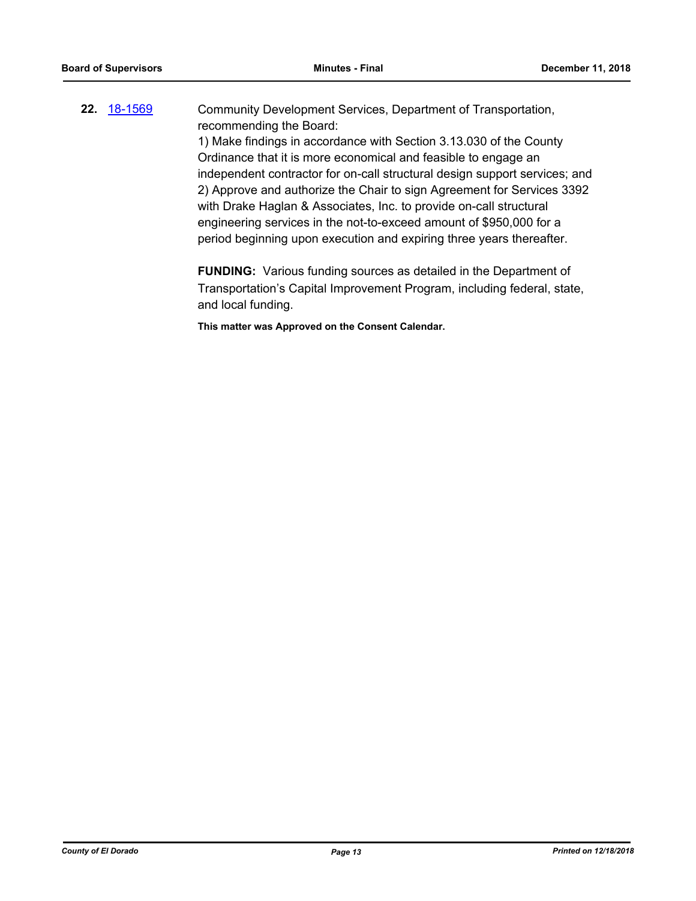**22.** [18-1569](http://eldorado.legistar.com/gateway.aspx?m=l&id=/matter.aspx?key=24920) Community Development Services, Department of Transportation, recommending the Board: 1) Make findings in accordance with Section 3.13.030 of the County

Ordinance that it is more economical and feasible to engage an independent contractor for on-call structural design support services; and 2) Approve and authorize the Chair to sign Agreement for Services 3392 with Drake Haglan & Associates, Inc. to provide on-call structural engineering services in the not-to-exceed amount of \$950,000 for a period beginning upon execution and expiring three years thereafter.

**FUNDING:** Various funding sources as detailed in the Department of Transportation's Capital Improvement Program, including federal, state, and local funding.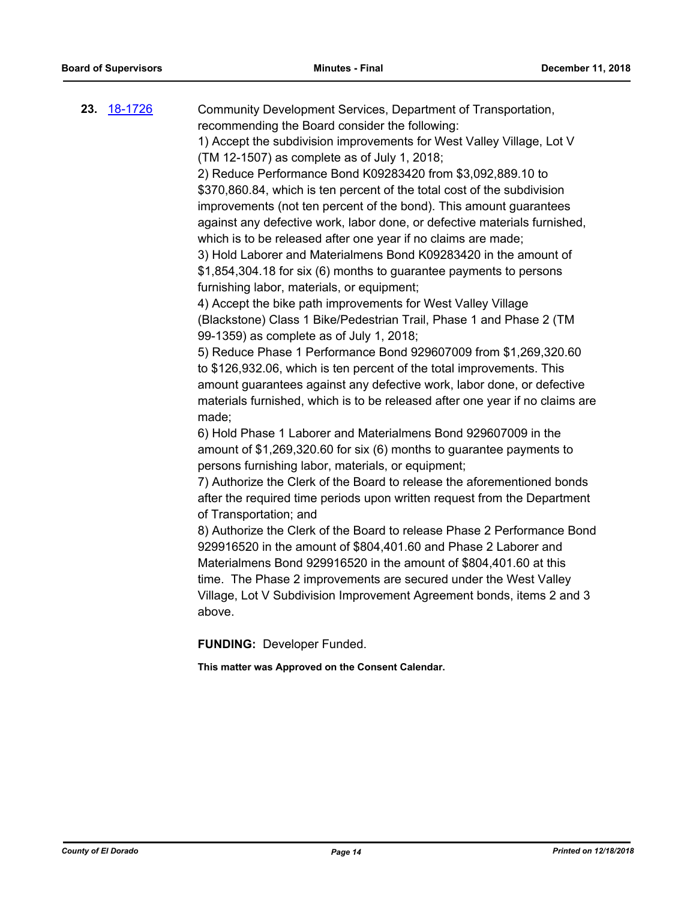| 23. 18-1726 | Community Development Services, Department of Transportation,<br>recommending the Board consider the following:<br>1) Accept the subdivision improvements for West Valley Village, Lot V<br>(TM 12-1507) as complete as of July 1, 2018;<br>2) Reduce Performance Bond K09283420 from \$3,092,889.10 to<br>\$370,860.84, which is ten percent of the total cost of the subdivision<br>improvements (not ten percent of the bond). This amount guarantees<br>against any defective work, labor done, or defective materials furnished,<br>which is to be released after one year if no claims are made;<br>3) Hold Laborer and Materialmens Bond K09283420 in the amount of<br>\$1,854,304.18 for six (6) months to guarantee payments to persons<br>furnishing labor, materials, or equipment;<br>4) Accept the bike path improvements for West Valley Village<br>(Blackstone) Class 1 Bike/Pedestrian Trail, Phase 1 and Phase 2 (TM<br>99-1359) as complete as of July 1, 2018;<br>5) Reduce Phase 1 Performance Bond 929607009 from \$1,269,320.60<br>to \$126,932.06, which is ten percent of the total improvements. This<br>amount guarantees against any defective work, labor done, or defective<br>materials furnished, which is to be released after one year if no claims are<br>made;<br>6) Hold Phase 1 Laborer and Materialmens Bond 929607009 in the<br>amount of \$1,269,320.60 for six (6) months to guarantee payments to<br>persons furnishing labor, materials, or equipment;<br>7) Authorize the Clerk of the Board to release the aforementioned bonds<br>after the required time periods upon written request from the Department<br>of Transportation; and<br>8) Authorize the Clerk of the Board to release Phase 2 Performance Bond<br>929916520 in the amount of \$804,401.60 and Phase 2 Laborer and<br>Materialmens Bond 929916520 in the amount of \$804,401.60 at this<br>time. The Phase 2 improvements are secured under the West Valley<br>Village, Lot V Subdivision Improvement Agreement bonds, items 2 and 3<br>above. |
|-------------|--------------------------------------------------------------------------------------------------------------------------------------------------------------------------------------------------------------------------------------------------------------------------------------------------------------------------------------------------------------------------------------------------------------------------------------------------------------------------------------------------------------------------------------------------------------------------------------------------------------------------------------------------------------------------------------------------------------------------------------------------------------------------------------------------------------------------------------------------------------------------------------------------------------------------------------------------------------------------------------------------------------------------------------------------------------------------------------------------------------------------------------------------------------------------------------------------------------------------------------------------------------------------------------------------------------------------------------------------------------------------------------------------------------------------------------------------------------------------------------------------------------------------------------------------------------------------------------------------------------------------------------------------------------------------------------------------------------------------------------------------------------------------------------------------------------------------------------------------------------------------------------------------------------------------------------------------------------------------------------------------------------------------------------------------------------|
|             | <b>FUNDING: Developer Funded.</b>                                                                                                                                                                                                                                                                                                                                                                                                                                                                                                                                                                                                                                                                                                                                                                                                                                                                                                                                                                                                                                                                                                                                                                                                                                                                                                                                                                                                                                                                                                                                                                                                                                                                                                                                                                                                                                                                                                                                                                                                                            |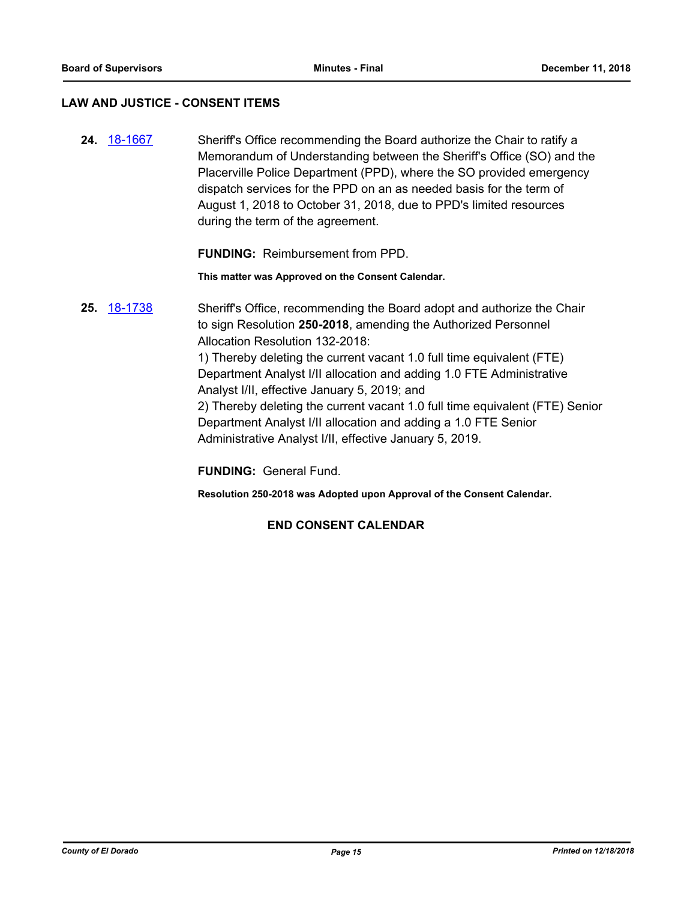# **LAW AND JUSTICE - CONSENT ITEMS**

**24.** [18-1667](http://eldorado.legistar.com/gateway.aspx?m=l&id=/matter.aspx?key=25018) Sheriff's Office recommending the Board authorize the Chair to ratify a Memorandum of Understanding between the Sheriff's Office (SO) and the Placerville Police Department (PPD), where the SO provided emergency dispatch services for the PPD on an as needed basis for the term of August 1, 2018 to October 31, 2018, due to PPD's limited resources during the term of the agreement.

**FUNDING:** Reimbursement from PPD.

**This matter was Approved on the Consent Calendar.**

**25.** [18-1738](http://eldorado.legistar.com/gateway.aspx?m=l&id=/matter.aspx?key=25089) Sheriff's Office, recommending the Board adopt and authorize the Chair to sign Resolution **250-2018**, amending the Authorized Personnel Allocation Resolution 132-2018: 1) Thereby deleting the current vacant 1.0 full time equivalent (FTE) Department Analyst I/II allocation and adding 1.0 FTE Administrative Analyst I/II, effective January 5, 2019; and 2) Thereby deleting the current vacant 1.0 full time equivalent (FTE) Senior Department Analyst I/II allocation and adding a 1.0 FTE Senior Administrative Analyst I/II, effective January 5, 2019.

**FUNDING:** General Fund.

**Resolution 250-2018 was Adopted upon Approval of the Consent Calendar.**

# **END CONSENT CALENDAR**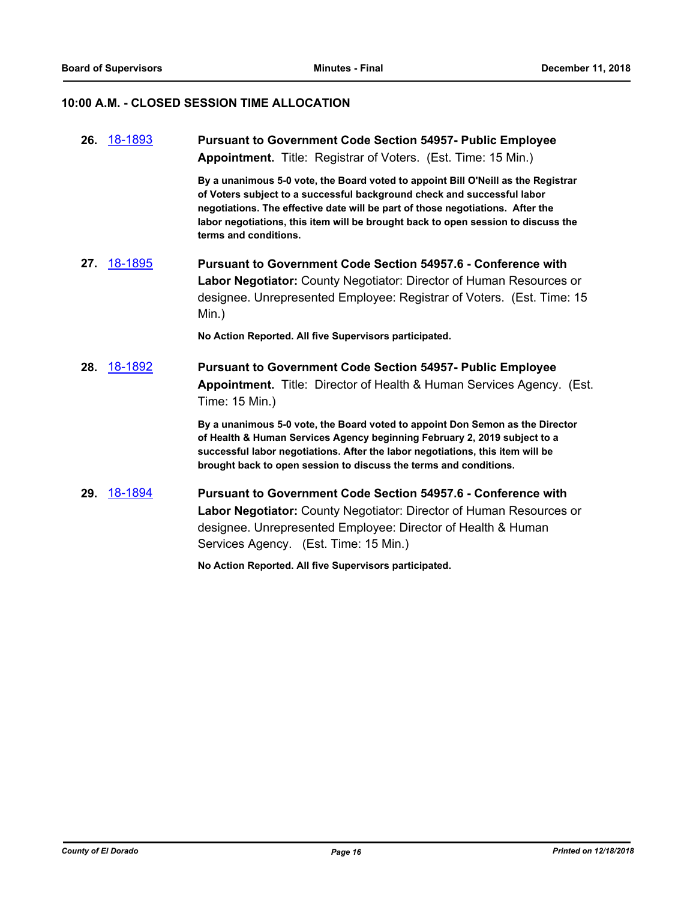# **10:00 A.M. - CLOSED SESSION TIME ALLOCATION**

|     | 26. 18-1893    | <b>Pursuant to Government Code Section 54957- Public Employee</b><br><b>Appointment.</b> Title: Registrar of Voters. (Est. Time: 15 Min.)                                                                                                                                                                                                                    |
|-----|----------------|--------------------------------------------------------------------------------------------------------------------------------------------------------------------------------------------------------------------------------------------------------------------------------------------------------------------------------------------------------------|
|     |                | By a unanimous 5-0 vote, the Board voted to appoint Bill O'Neill as the Registrar<br>of Voters subject to a successful background check and successful labor<br>negotiations. The effective date will be part of those negotiations. After the<br>labor negotiations, this item will be brought back to open session to discuss the<br>terms and conditions. |
| 27. | <u>18-1895</u> | <b>Pursuant to Government Code Section 54957.6 - Conference with</b><br>Labor Negotiator: County Negotiator: Director of Human Resources or<br>designee. Unrepresented Employee: Registrar of Voters. (Est. Time: 15<br>Min.)                                                                                                                                |
|     |                | No Action Reported. All five Supervisors participated.                                                                                                                                                                                                                                                                                                       |
| 28. | 18-1892        | <b>Pursuant to Government Code Section 54957- Public Employee</b><br>Appointment. Title: Director of Health & Human Services Agency. (Est.<br>Time: 15 Min.)                                                                                                                                                                                                 |
|     |                | By a unanimous 5-0 vote, the Board voted to appoint Don Semon as the Director<br>of Health & Human Services Agency beginning February 2, 2019 subject to a<br>successful labor negotiations. After the labor negotiations, this item will be<br>brought back to open session to discuss the terms and conditions.                                            |
| 29. | 18-1894        | <b>Pursuant to Government Code Section 54957.6 - Conference with</b><br>Labor Negotiator: County Negotiator: Director of Human Resources or<br>designee. Unrepresented Employee: Director of Health & Human<br>Services Agency. (Est. Time: 15 Min.)                                                                                                         |

**No Action Reported. All five Supervisors participated.**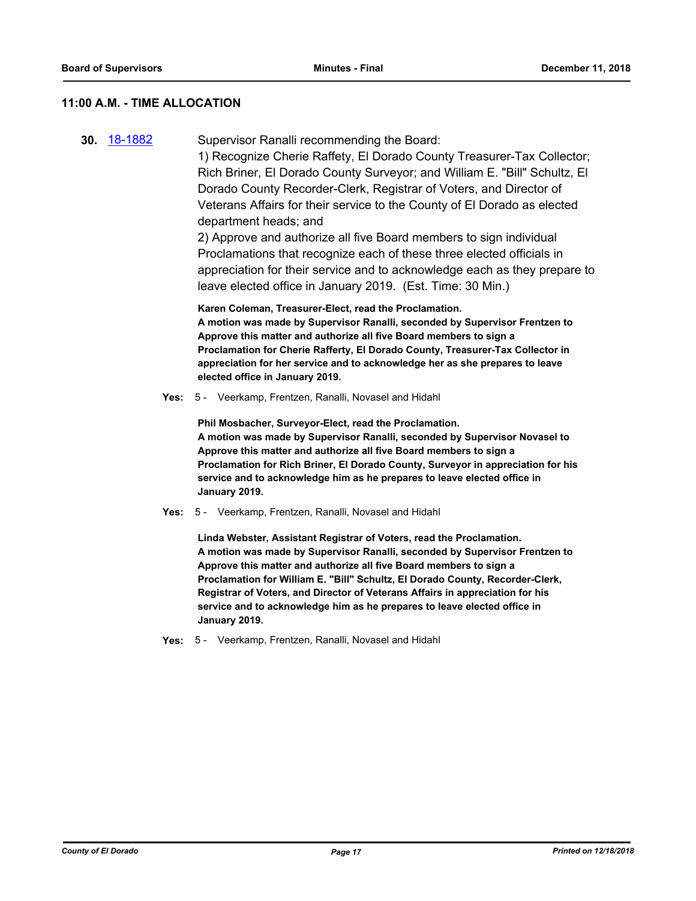# **11:00 A.M. - TIME ALLOCATION**

|  | <b>30 18-1882</b> | Supervisor Ranalli recommending the Board: |
|--|-------------------|--------------------------------------------|
|--|-------------------|--------------------------------------------|

1) Recognize Cherie Raffety, El Dorado County Treasurer-Tax Collector; Rich Briner, El Dorado County Surveyor; and William E. "Bill" Schultz, El Dorado County Recorder-Clerk, Registrar of Voters, and Director of Veterans Affairs for their service to the County of El Dorado as elected department heads; and

2) Approve and authorize all five Board members to sign individual Proclamations that recognize each of these three elected officials in appreciation for their service and to acknowledge each as they prepare to leave elected office in January 2019. (Est. Time: 30 Min.)

**Karen Coleman, Treasurer-Elect, read the Proclamation. A motion was made by Supervisor Ranalli, seconded by Supervisor Frentzen to Approve this matter and authorize all five Board members to sign a Proclamation for Cherie Rafferty, El Dorado County, Treasurer-Tax Collector in appreciation for her service and to acknowledge her as she prepares to leave elected office in January 2019.**

**Yes:** 5 - Veerkamp, Frentzen, Ranalli, Novasel and Hidahl

**Phil Mosbacher, Surveyor-Elect, read the Proclamation. A motion was made by Supervisor Ranalli, seconded by Supervisor Novasel to Approve this matter and authorize all five Board members to sign a Proclamation for Rich Briner, El Dorado County, Surveyor in appreciation for his service and to acknowledge him as he prepares to leave elected office in January 2019.**

**Yes:** 5 - Veerkamp, Frentzen, Ranalli, Novasel and Hidahl

**Linda Webster, Assistant Registrar of Voters, read the Proclamation. A motion was made by Supervisor Ranalli, seconded by Supervisor Frentzen to Approve this matter and authorize all five Board members to sign a Proclamation for William E. "Bill" Schultz, El Dorado County, Recorder-Clerk, Registrar of Voters, and Director of Veterans Affairs in appreciation for his service and to acknowledge him as he prepares to leave elected office in January 2019.**

**Yes:** 5 - Veerkamp, Frentzen, Ranalli, Novasel and Hidahl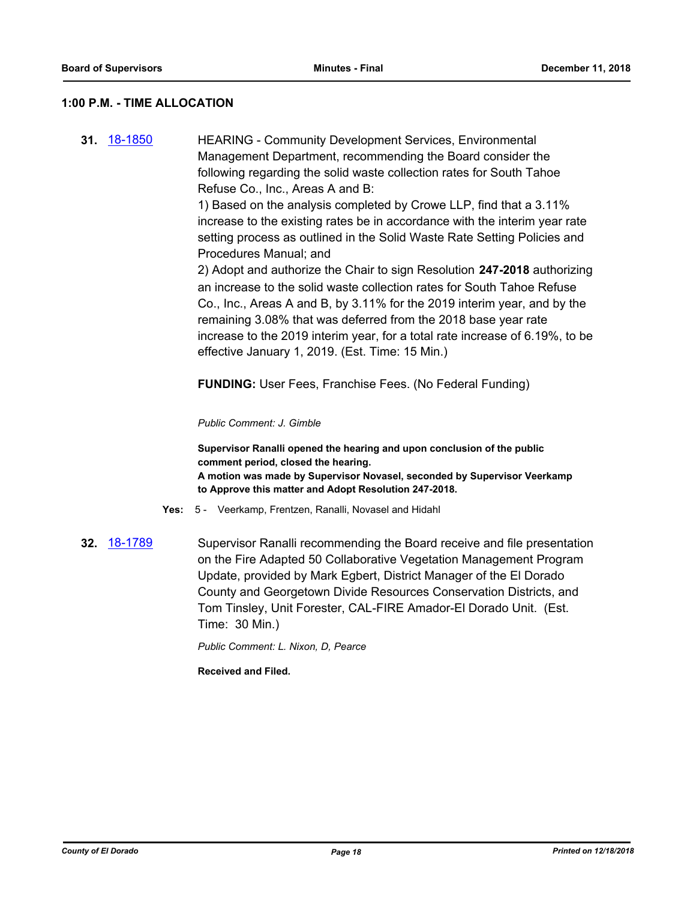# **1:00 P.M. - TIME ALLOCATION**

**31.** [18-1850](http://eldorado.legistar.com/gateway.aspx?m=l&id=/matter.aspx?key=25200) HEARING - Community Development Services, Environmental Management Department, recommending the Board consider the following regarding the solid waste collection rates for South Tahoe Refuse Co., Inc., Areas A and B:

> 1) Based on the analysis completed by Crowe LLP, find that a 3.11% increase to the existing rates be in accordance with the interim year rate setting process as outlined in the Solid Waste Rate Setting Policies and Procedures Manual; and

2) Adopt and authorize the Chair to sign Resolution **247-2018** authorizing an increase to the solid waste collection rates for South Tahoe Refuse Co., Inc., Areas A and B, by 3.11% for the 2019 interim year, and by the remaining 3.08% that was deferred from the 2018 base year rate increase to the 2019 interim year, for a total rate increase of 6.19%, to be effective January 1, 2019. (Est. Time: 15 Min.)

**FUNDING:** User Fees, Franchise Fees. (No Federal Funding)

### *Public Comment: J. Gimble*

**Supervisor Ranalli opened the hearing and upon conclusion of the public comment period, closed the hearing. A motion was made by Supervisor Novasel, seconded by Supervisor Veerkamp to Approve this matter and Adopt Resolution 247-2018.**

- **Yes:** 5 Veerkamp, Frentzen, Ranalli, Novasel and Hidahl
- **32.** [18-1789](http://eldorado.legistar.com/gateway.aspx?m=l&id=/matter.aspx?key=25140) Supervisor Ranalli recommending the Board receive and file presentation on the Fire Adapted 50 Collaborative Vegetation Management Program Update, provided by Mark Egbert, District Manager of the El Dorado County and Georgetown Divide Resources Conservation Districts, and Tom Tinsley, Unit Forester, CAL-FIRE Amador-El Dorado Unit. (Est. Time: 30 Min.)

*Public Comment: L. Nixon, D, Pearce*

**Received and Filed.**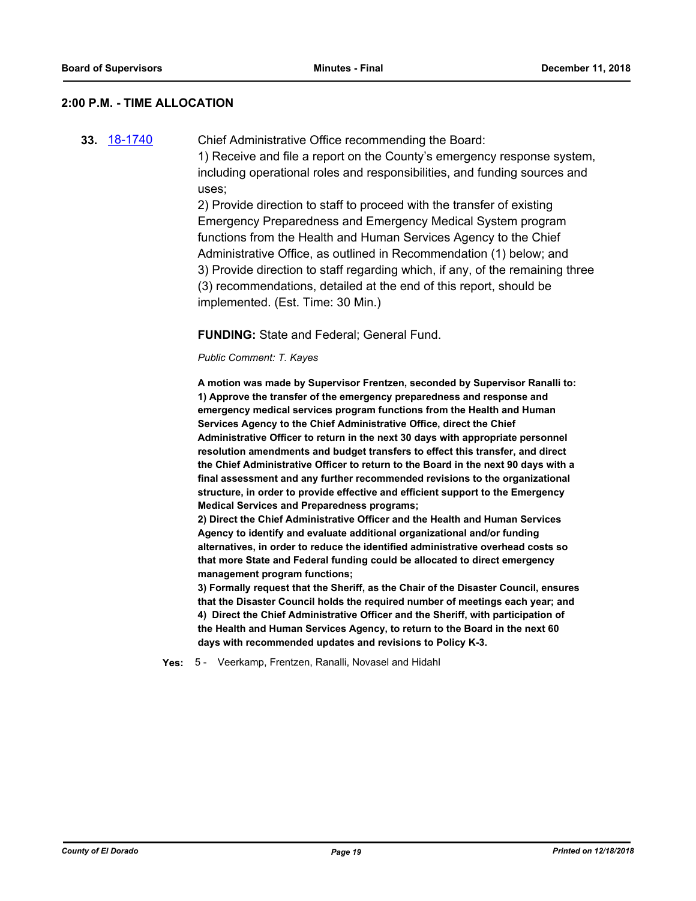## **2:00 P.M. - TIME ALLOCATION**

**33.** [18-1740](http://eldorado.legistar.com/gateway.aspx?m=l&id=/matter.aspx?key=25091) Chief Administrative Office recommending the Board:

1) Receive and file a report on the County's emergency response system, including operational roles and responsibilities, and funding sources and uses;

2) Provide direction to staff to proceed with the transfer of existing Emergency Preparedness and Emergency Medical System program functions from the Health and Human Services Agency to the Chief Administrative Office, as outlined in Recommendation (1) below; and 3) Provide direction to staff regarding which, if any, of the remaining three (3) recommendations, detailed at the end of this report, should be implemented. (Est. Time: 30 Min.)

### **FUNDING:** State and Federal; General Fund.

### *Public Comment: T. Kayes*

**A motion was made by Supervisor Frentzen, seconded by Supervisor Ranalli to: 1) Approve the transfer of the emergency preparedness and response and emergency medical services program functions from the Health and Human Services Agency to the Chief Administrative Office, direct the Chief Administrative Officer to return in the next 30 days with appropriate personnel resolution amendments and budget transfers to effect this transfer, and direct the Chief Administrative Officer to return to the Board in the next 90 days with a final assessment and any further recommended revisions to the organizational structure, in order to provide effective and efficient support to the Emergency Medical Services and Preparedness programs;**

**2) Direct the Chief Administrative Officer and the Health and Human Services Agency to identify and evaluate additional organizational and/or funding alternatives, in order to reduce the identified administrative overhead costs so that more State and Federal funding could be allocated to direct emergency management program functions;** 

**3) Formally request that the Sheriff, as the Chair of the Disaster Council, ensures that the Disaster Council holds the required number of meetings each year; and 4) Direct the Chief Administrative Officer and the Sheriff, with participation of the Health and Human Services Agency, to return to the Board in the next 60 days with recommended updates and revisions to Policy K-3.**

**Yes:** 5 - Veerkamp, Frentzen, Ranalli, Novasel and Hidahl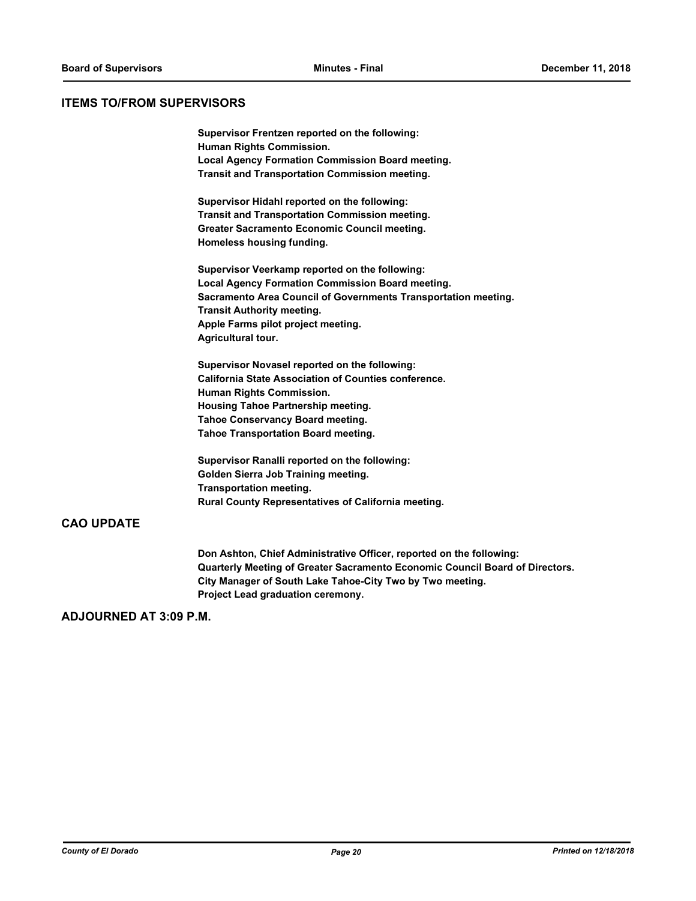## **ITEMS TO/FROM SUPERVISORS**

**Supervisor Frentzen reported on the following: Human Rights Commission. Local Agency Formation Commission Board meeting. Transit and Transportation Commission meeting.**

**Supervisor Hidahl reported on the following: Transit and Transportation Commission meeting. Greater Sacramento Economic Council meeting. Homeless housing funding.**

**Supervisor Veerkamp reported on the following: Local Agency Formation Commission Board meeting. Sacramento Area Council of Governments Transportation meeting. Transit Authority meeting. Apple Farms pilot project meeting. Agricultural tour.**

**Supervisor Novasel reported on the following: California State Association of Counties conference. Human Rights Commission. Housing Tahoe Partnership meeting. Tahoe Conservancy Board meeting. Tahoe Transportation Board meeting.**

**Supervisor Ranalli reported on the following: Golden Sierra Job Training meeting. Transportation meeting. Rural County Representatives of California meeting.**

# **CAO UPDATE**

**Don Ashton, Chief Administrative Officer, reported on the following: Quarterly Meeting of Greater Sacramento Economic Council Board of Directors. City Manager of South Lake Tahoe-City Two by Two meeting. Project Lead graduation ceremony.**

# **ADJOURNED AT 3:09 P.M.**